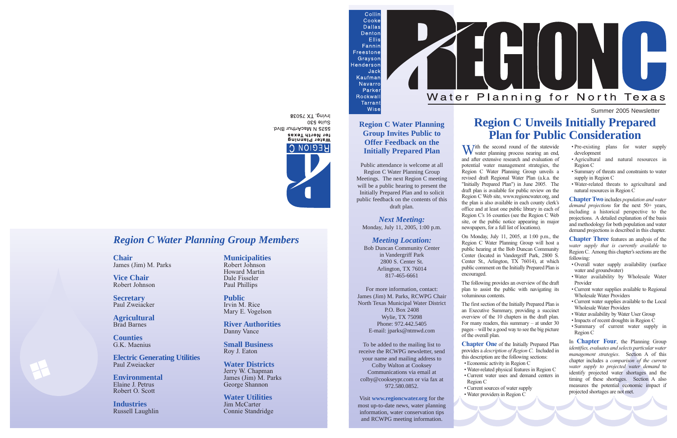Summer 2005 Newsletter

#### *Region C Water Planning Group Members*

**Chair** James (Jim) M. Parks

**Vice Chair** Robert Johnson

**Secretary** Paul Zweiacker

**Agricultural** Brad Barnes

**Counties** G.K. Maenius

**Electric Generating Utilities** Paul Zweiacker

**Environmental** Elaine J. Petrus Robert O. Scott

**Industries** Russell Laughlin **Municipalities** Robert Johnson Howard Martin Dale Fisseler Paul Phillips

**Public** Irvin M. Rice Mary E. Vogelson

**River Authorities** Danny Vance

**Small Business** Roy J. Eaton

**Water Districts** Jerry W. Chapman James (Jim) M. Parks George Shannon

**Water Utilities** Jim McCarter Connie Standridge







#### **Region C Water Planning Group Invites Public to Offer Feedback on the Initially Prepared Plan**

Public attendance is welcome at all Region C Water Planning Group Meetings. The next Region C meeting will be a public hearing to present the Initially Prepared Plan and to solicit public feedback on the contents of this draft plan.

*Next Meeting:*

Monday, July 11, 2005, 1:00 p.m.

#### *Meeting Location:*

# Bob Duncan Community Center

in Vandergriff Park 2800 S. Center St. Arlington, TX 76014 817-465-6661

For more information, contact:

With the second round of the statewide<br>water planning process nearing an end, and after extensive research and evaluation of potential water management strategies, the Region C Water Planning Group unveils a revised draft Regional Water Plan (a.k.a. the "Initially Prepared Plan") in June 2005. The draft plan is available for public review on the Region C Web site, www.regioncwater.org, and the plan is also available in each county clerk's office and at least one public library in each of Region C's 16 counties (see the Region C Web site, or the public notice appearing in major newspapers, for a full list of locations).

James (Jim) M. Parks, RCWPG Chair North Texas Municipal Water District P.O. Box 2408 Wylie, TX 75098 Phone: 972.442.5405 E-mail: jparks@ntmwd.com

To be added to the mailing list to receive the RCWPG newsletter, send your name and mailing address to Colby Walton at Cooksey Communications via email at colby@cookseypr.com or via fax at 972.580.0852.

Visit **www.regioncwater.org** for the most up-to-date news, water planning information, water conservation tips and RCWPG meeting information.

Wise

**Chapter One** of the Initially Prepared Plan provides a *description of Region C*. Included in this description are the following sections: • Economic activity in Region C

### **Region C Unveils Initially Prepared Plan for Public Consideration**

On Monday, July 11, 2005, at 1:00 p.m., the Region C Water Planning Group will host a public hearing at the Bob Duncan Community Center (located in Vandergriff Park, 2800 S. Center St., Arlington, TX 76014), at which public comment on the Initially Prepared Plan is

encouraged.

The following provides an overview of the draft plan to assist the public with navigating its voluminous contents.

The first section of the Initially Prepared Plan is an Executive Summary, providing a succinct overview of the 10 chapters in the draft plan. For many readers, this summary – at under 30 pages – will be a good way to see the big picture

of the overall plan.

• Water-related physical features in Region C • Current water uses and demand centers in

• Current sources of water supply

- Region C
- Water providers in Region C

Suite 530 5525 N MacArthur Blvd. for North Texas Water Planing REGION CI

BEOGT XT, pnivil

- Pre-existing plans for water supply development
- Agricultural and natural resources in Region C
- Summary of threats and constraints to water supply in Region C
- Water-related threats to agricultural and natural resources in Region C

**Chapter Two** includes *population and water demand projections* for the next 50+ years, including a historical perspective to the projections. A detailed explanation of the basis and methodology for both population and water demand projections is described in this chapter.

**Chapter Three** features an analysis of the *water supply that is currently available* to Region C. Among this chapter's sections are the following:

- Overall water supply availability (surface water and groundwater)
- Water availability by Wholesale Water Provider
- Current water supplies available to Regional Wholesale Water Providers
- Current water supplies available to the Local Wholesale Water Providers
- Water availability by Water User Group
- Impacts of recent droughts in Region C
- Summary of current water supply in Region C

In **Chapter Four**, the Planning Group *identifies, evaluates and selects particular water management strategies*. Section A of this chapter includes a *comparison of the current water supply to projected water demand* to identify projected water shortages and the timing of these shortages. Section A also measures the potential economic impact if projected shortages are not met.